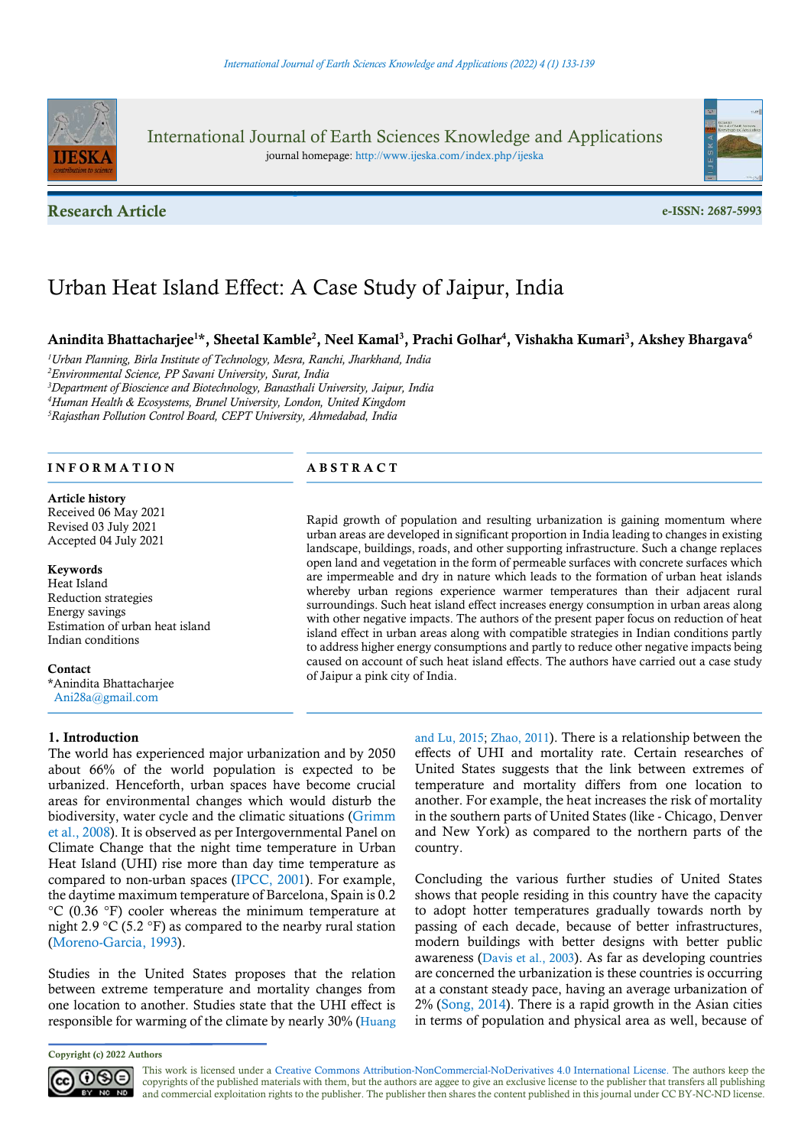

International Journal of Earth Sciences Knowledge and Applications journal homepage: http://www.ijeska.com/index.php/ijeska

Research Article e-ISSN: 2687-5993



# Urban Heat Island Effect: A Case Study of Jaipur, India

# Anindita Bhattacharjee<sup>1\*</sup>, Sheetal Kamble<sup>2</sup>, Neel Kamal<sup>3</sup>, Prachi Golhar<sup>4</sup>, Vishakha Kumari<sup>3</sup>, Akshey Bhargava<sup>6</sup>

<sup>1</sup>Urban Planning, Birla Institute of Technology, Mesra, Ranchi, Jharkhand, India <sup>2</sup>Environmental Science, PP Savani University, Surat, India <sup>3</sup>Department of Bioscience and Biotechnology, Banasthali University, Jaipur, India <sup>4</sup>Human Health & Ecosystems, Brunel University, London, United Kingdom <sup>5</sup>Rajasthan Pollution Control Board, CEPT University, Ahmedabad, India

# INFORMATION ABSTRACT

#### Article history

Received 06 May 2021 Revised 03 July 2021 Accepted 04 July 2021

#### Keywords

Heat Island Reduction strategies Energy savings Estimation of urban heat island Indian conditions

#### **Contact**

\*Anindita Bhattacharjee Ani28a@gmail.com

#### 1. Introduction

The world has experienced major urbanization and by 2050 about 66% of the world population is expected to be urbanized. Henceforth, urban spaces have become crucial areas for environmental changes which would disturb the biodiversity, water cycle and the climatic situations (Grimm et al., 2008). It is observed as per Intergovernmental Panel on Climate Change that the night time temperature in Urban Heat Island (UHI) rise more than day time temperature as compared to non-urban spaces (IPCC, 2001). For example, the daytime maximum temperature of Barcelona, Spain is 0.2 °C (0.36 °F) cooler whereas the minimum temperature at night 2.9  $\rm{^{\circ}C}$  (5.2  $\rm{^{\circ}F}$ ) as compared to the nearby rural station (Moreno-Garcia, 1993).

Studies in the United States proposes that the relation between extreme temperature and mortality changes from one location to another. Studies state that the UHI effect is responsible for warming of the climate by nearly 30% (Huang

Copyright (c) 2022 Authors



Rapid growth of population and resulting urbanization is gaining momentum where urban areas are developed in significant proportion in India leading to changes in existing landscape, buildings, roads, and other supporting infrastructure. Such a change replaces open land and vegetation in the form of permeable surfaces with concrete surfaces which are impermeable and dry in nature which leads to the formation of urban heat islands whereby urban regions experience warmer temperatures than their adjacent rural surroundings. Such heat island effect increases energy consumption in urban areas along with other negative impacts. The authors of the present paper focus on reduction of heat island effect in urban areas along with compatible strategies in Indian conditions partly to address higher energy consumptions and partly to reduce other negative impacts being caused on account of such heat island effects. The authors have carried out a case study of Jaipur a pink city of India.

> and Lu, 2015; Zhao, 2011). There is a relationship between the effects of UHI and mortality rate. Certain researches of United States suggests that the link between extremes of temperature and mortality differs from one location to another. For example, the heat increases the risk of mortality in the southern parts of United States (like - Chicago, Denver and New York) as compared to the northern parts of the country.

> Concluding the various further studies of United States shows that people residing in this country have the capacity to adopt hotter temperatures gradually towards north by passing of each decade, because of better infrastructures, modern buildings with better designs with better public awareness (Davis et al., 2003). As far as developing countries are concerned the urbanization is these countries is occurring at a constant steady pace, having an average urbanization of 2% (Song, 2014). There is a rapid growth in the Asian cities in terms of population and physical area as well, because of

This work is licensed under a Creative Commons Attribution-NonCommercial-NoDerivatives 4.0 International License. The authors keep the copyrights of the published materials with them, but the authors are aggee to give an exclusive license to the publisher that transfers all publishing and commercial exploitation rights to the publisher. The publisher then shares the content published in this journal under CC BY-NC-ND license.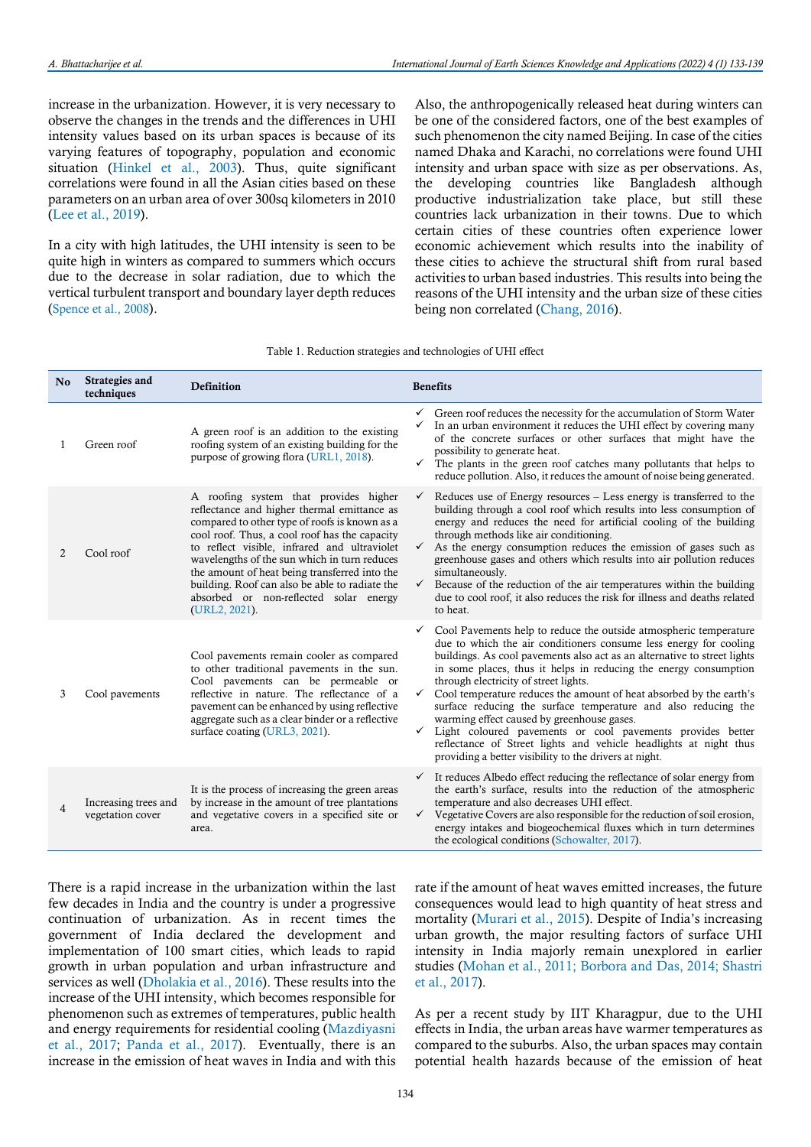increase in the urbanization. However, it is very necessary to observe the changes in the trends and the differences in UHI intensity values based on its urban spaces is because of its varying features of topography, population and economic situation (Hinkel et al., 2003). Thus, quite significant correlations were found in all the Asian cities based on these parameters on an urban area of over 300sq kilometers in 2010 (Lee et al., 2019).

In a city with high latitudes, the UHI intensity is seen to be quite high in winters as compared to summers which occurs due to the decrease in solar radiation, due to which the vertical turbulent transport and boundary layer depth reduces (Spence et al., 2008).

Also, the anthropogenically released heat during winters can be one of the considered factors, one of the best examples of such phenomenon the city named Beijing. In case of the cities named Dhaka and Karachi, no correlations were found UHI intensity and urban space with size as per observations. As, the developing countries like Bangladesh although productive industrialization take place, but still these countries lack urbanization in their towns. Due to which certain cities of these countries often experience lower economic achievement which results into the inability of these cities to achieve the structural shift from rural based activities to urban based industries. This results into being the reasons of the UHI intensity and the urban size of these cities being non correlated (Chang, 2016).

| No             | Strategies and<br>techniques             | Definition                                                                                                                                                                                                                                                                                                                                                                                                                                           | <b>Benefits</b>                                                                                                                                                                                                                                                                                                                                                                                                                                                                                                                                                                                                                                                                                                                                          |
|----------------|------------------------------------------|------------------------------------------------------------------------------------------------------------------------------------------------------------------------------------------------------------------------------------------------------------------------------------------------------------------------------------------------------------------------------------------------------------------------------------------------------|----------------------------------------------------------------------------------------------------------------------------------------------------------------------------------------------------------------------------------------------------------------------------------------------------------------------------------------------------------------------------------------------------------------------------------------------------------------------------------------------------------------------------------------------------------------------------------------------------------------------------------------------------------------------------------------------------------------------------------------------------------|
| 1              | Green roof                               | A green roof is an addition to the existing<br>roofing system of an existing building for the<br>purpose of growing flora (URL1, 2018).                                                                                                                                                                                                                                                                                                              | Green roof reduces the necessity for the accumulation of Storm Water<br>In an urban environment it reduces the UHI effect by covering many<br>$\checkmark$<br>of the concrete surfaces or other surfaces that might have the<br>possibility to generate heat.<br>The plants in the green roof catches many pollutants that helps to<br>✓<br>reduce pollution. Also, it reduces the amount of noise being generated.                                                                                                                                                                                                                                                                                                                                      |
| 2              | Cool roof                                | A roofing system that provides higher<br>reflectance and higher thermal emittance as<br>compared to other type of roofs is known as a<br>cool roof. Thus, a cool roof has the capacity<br>to reflect visible, infrared and ultraviolet<br>wavelengths of the sun which in turn reduces<br>the amount of heat being transferred into the<br>building. Roof can also be able to radiate the<br>absorbed or non-reflected solar energy<br>(URL2, 2021). | Reduces use of Energy resources – Less energy is transferred to the<br>$\checkmark$<br>building through a cool roof which results into less consumption of<br>energy and reduces the need for artificial cooling of the building<br>through methods like air conditioning.<br>As the energy consumption reduces the emission of gases such as<br>$\checkmark$<br>greenhouse gases and others which results into air pollution reduces<br>simultaneously.<br>Because of the reduction of the air temperatures within the building<br>$\checkmark$<br>due to cool roof, it also reduces the risk for illness and deaths related<br>to heat.                                                                                                                |
| 3              | Cool pavements                           | Cool pavements remain cooler as compared<br>to other traditional pavements in the sun.<br>Cool pavements can be permeable or<br>reflective in nature. The reflectance of a<br>payement can be enhanced by using reflective<br>aggregate such as a clear binder or a reflective<br>surface coating (URL3, 2021).                                                                                                                                      | Cool Pavements help to reduce the outside atmospheric temperature<br>$\checkmark$<br>due to which the air conditioners consume less energy for cooling<br>buildings. As cool pavements also act as an alternative to street lights<br>in some places, thus it helps in reducing the energy consumption<br>through electricity of street lights.<br>Cool temperature reduces the amount of heat absorbed by the earth's<br>✓<br>surface reducing the surface temperature and also reducing the<br>warming effect caused by greenhouse gases.<br>Light coloured pavements or cool pavements provides better<br>$\checkmark$<br>reflectance of Street lights and vehicle headlights at night thus<br>providing a better visibility to the drivers at night. |
| $\overline{4}$ | Increasing trees and<br>vegetation cover | It is the process of increasing the green areas<br>by increase in the amount of tree plantations<br>and vegetative covers in a specified site or<br>area.                                                                                                                                                                                                                                                                                            | $\checkmark$ It reduces Albedo effect reducing the reflectance of solar energy from<br>the earth's surface, results into the reduction of the atmospheric<br>temperature and also decreases UHI effect.<br>Vegetative Covers are also responsible for the reduction of soil erosion,<br>$\checkmark$<br>energy intakes and biogeochemical fluxes which in turn determines<br>the ecological conditions (Schowalter, 2017).                                                                                                                                                                                                                                                                                                                               |

Table 1. Reduction strategies and technologies of UHI effect

There is a rapid increase in the urbanization within the last few decades in India and the country is under a progressive continuation of urbanization. As in recent times the government of India declared the development and implementation of 100 smart cities, which leads to rapid growth in urban population and urban infrastructure and services as well (Dholakia et al., 2016). These results into the increase of the UHI intensity, which becomes responsible for phenomenon such as extremes of temperatures, public health and energy requirements for residential cooling (Mazdiyasni et al., 2017; Panda et al., 2017). Eventually, there is an increase in the emission of heat waves in India and with this

rate if the amount of heat waves emitted increases, the future consequences would lead to high quantity of heat stress and mortality (Murari et al., 2015). Despite of India's increasing urban growth, the major resulting factors of surface UHI intensity in India majorly remain unexplored in earlier studies (Mohan et al., 2011; Borbora and Das, 2014; Shastri et al., 2017).

As per a recent study by IIT Kharagpur, due to the UHI effects in India, the urban areas have warmer temperatures as compared to the suburbs. Also, the urban spaces may contain potential health hazards because of the emission of heat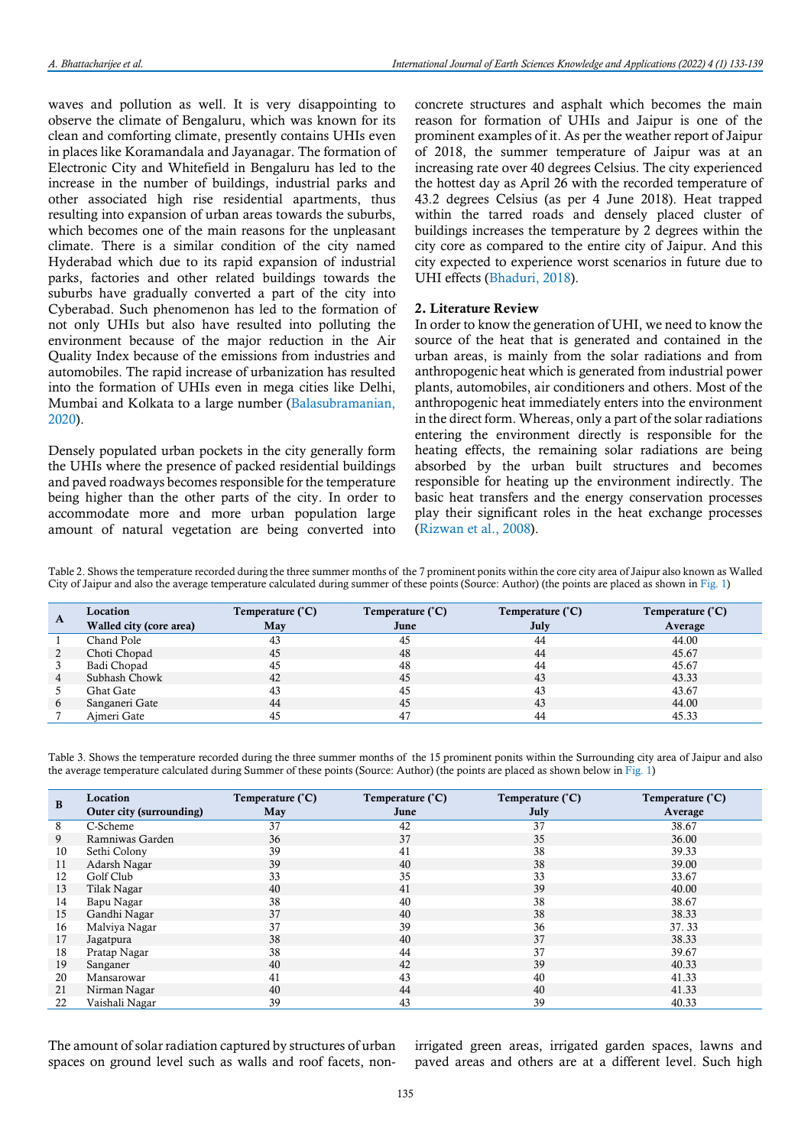waves and pollution as well. It is very disappointing to observe the climate of Bengaluru, which was known for its clean and comforting climate, presently contains UHIs even in places like Koramandala and Jayanagar. The formation of Electronic City and Whitefield in Bengaluru has led to the increase in the number of buildings, industrial parks and other associated high rise residential apartments, thus resulting into expansion of urban areas towards the suburbs, which becomes one of the main reasons for the unpleasant climate. There is a similar condition of the city named Hyderabad which due to its rapid expansion of industrial parks, factories and other related buildings towards the suburbs have gradually converted a part of the city into Cyberabad. Such phenomenon has led to the formation of not only UHIs but also have resulted into polluting the environment because of the major reduction in the Air Quality Index because of the emissions from industries and automobiles. The rapid increase of urbanization has resulted into the formation of UHIs even in mega cities like Delhi, Mumbai and Kolkata to a large number (Balasubramanian, 2020).

Densely populated urban pockets in the city generally form the UHIs where the presence of packed residential buildings and paved roadways becomes responsible for the temperature being higher than the other parts of the city. In order to accommodate more and more urban population large amount of natural vegetation are being converted into concrete structures and asphalt which becomes the main reason for formation of UHIs and Jaipur is one of the prominent examples of it. As per the weather report of Jaipur of 2018, the summer temperature of Jaipur was at an increasing rate over 40 degrees Celsius. The city experienced the hottest day as April 26 with the recorded temperature of 43.2 degrees Celsius (as per 4 June 2018). Heat trapped within the tarred roads and densely placed cluster of buildings increases the temperature by 2 degrees within the city core as compared to the entire city of Jaipur. And this city expected to experience worst scenarios in future due to UHI effects (Bhaduri, 2018).

#### 2. Literature Review

In order to know the generation of UHI, we need to know the source of the heat that is generated and contained in the urban areas, is mainly from the solar radiations and from anthropogenic heat which is generated from industrial power plants, automobiles, air conditioners and others. Most of the anthropogenic heat immediately enters into the environment in the direct form. Whereas, only a part of the solar radiations entering the environment directly is responsible for the heating effects, the remaining solar radiations are being absorbed by the urban built structures and becomes responsible for heating up the environment indirectly. The basic heat transfers and the energy conservation processes play their significant roles in the heat exchange processes (Rizwan et al., 2008).

Table 2. Shows the temperature recorded during the three summer months of the 7 prominent ponits within the core city area of Jaipur also known as Walled City of Jaipur and also the average temperature calculated during summer of these points (Source: Author) (the points are placed as shown in Fig. 1)

| A | Location                | Temperature (°C) | Temperature (°C) | Temperature (°C) | Temperature (°C) |
|---|-------------------------|------------------|------------------|------------------|------------------|
|   | Walled city (core area) | May              | June             | July             | Average          |
|   | Chand Pole              | 43               | 45               | 44               | 44.00            |
|   | Choti Chopad            | 45               | 48               | 44               | 45.67            |
|   | Badi Chopad             | 45               | 48               | 44               | 45.67            |
|   | Subhash Chowk           | 42               | 45               | 43               | 43.33            |
|   | Ghat Gate               | 43               | 45               | 43               | 43.67            |
|   | Sanganeri Gate          | 44               | 45               | 43               | 44.00            |
|   | Aimeri Gate             | 45               | 47               | 44               | 45.33            |

Table 3. Shows the temperature recorded during the three summer months of the 15 prominent ponits within the Surrounding city area of Jaipur and also the average temperature calculated during Summer of these points (Source: Author) (the points are placed as shown below in Fig. 1)

| B  | Location                 | Temperature (°C) | Temperature (°C) | Temperature (°C) | Temperature (°C) |
|----|--------------------------|------------------|------------------|------------------|------------------|
|    | Outer city (surrounding) | May              | June             | July             | Average          |
| 8  | C-Scheme                 | 37               | 42               | 37               | 38.67            |
| 9. | Ramniwas Garden          | 36               | 37               | 35               | 36.00            |
| 10 | Sethi Colony             | 39               | 41               | 38               | 39.33            |
| 11 | Adarsh Nagar             | 39               | 40               | 38               | 39.00            |
| 12 | Golf Club                | 33               | 35               | 33               | 33.67            |
| 13 | Tilak Nagar              | 40               | 41               | 39               | 40.00            |
| 14 | Bapu Nagar               | 38               | 40               | 38               | 38.67            |
| 15 | Gandhi Nagar             | 37               | 40               | 38               | 38.33            |
| 16 | Malviya Nagar            | 37               | 39               | 36               | 37.33            |
| 17 | Jagatpura                | 38               | 40               | 37               | 38.33            |
| 18 | Pratap Nagar             | 38               | 44               | 37               | 39.67            |
| 19 | Sanganer                 | 40               | 42               | 39               | 40.33            |
| 20 | Mansarowar               | 41               | 43               | 40               | 41.33            |
| 21 | Nirman Nagar             | 40               | 44               | 40               | 41.33            |
| 22 | Vaishali Nagar           | 39               | 43               | 39               | 40.33            |

The amount of solar radiation captured by structures of urban spaces on ground level such as walls and roof facets, non-

irrigated green areas, irrigated garden spaces, lawns and paved areas and others are at a different level. Such high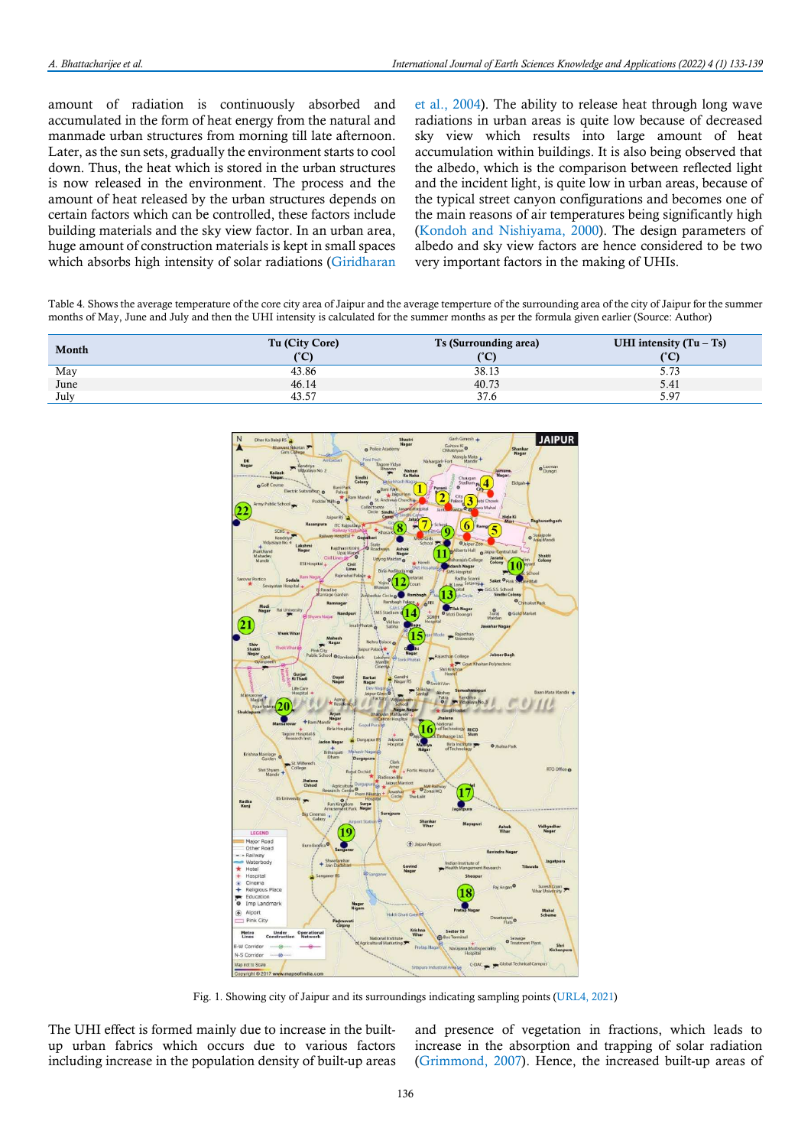amount of radiation is continuously absorbed and accumulated in the form of heat energy from the natural and manmade urban structures from morning till late afternoon. Later, as the sun sets, gradually the environment starts to cool down. Thus, the heat which is stored in the urban structures is now released in the environment. The process and the amount of heat released by the urban structures depends on certain factors which can be controlled, these factors include building materials and the sky view factor. In an urban area, huge amount of construction materials is kept in small spaces which absorbs high intensity of solar radiations (Giridharan

et al., 2004). The ability to release heat through long wave radiations in urban areas is quite low because of decreased sky view which results into large amount of heat accumulation within buildings. It is also being observed that the albedo, which is the comparison between reflected light and the incident light, is quite low in urban areas, because of the typical street canyon configurations and becomes one of the main reasons of air temperatures being significantly high (Kondoh and Nishiyama, 2000). The design parameters of albedo and sky view factors are hence considered to be two very important factors in the making of UHIs.

Table 4. Shows the average temperature of the core city area of Jaipur and the average temperture of the surrounding area of the city of Jaipur for the summer months of May, June and July and then the UHI intensity is calculated for the summer months as per the formula given earlier (Source: Author)

| Month | Tu (City Core) | Ts (Surrounding area) | UHI intensity $(Tu - Ts)$ |
|-------|----------------|-----------------------|---------------------------|
|       | (°C)           | (°C)                  | ربی،<br>ັ                 |
| May   | 43.86          | 38.13                 | 5.73                      |
| June  | 46.14          | 40.73                 | 5.41                      |
| July  | 43.57          | 37.6                  | 5.97                      |



Fig. 1. Showing city of Jaipur and its surroundings indicating sampling points (URL4, 2021)

The UHI effect is formed mainly due to increase in the builtup urban fabrics which occurs due to various factors including increase in the population density of built-up areas

and presence of vegetation in fractions, which leads to increase in the absorption and trapping of solar radiation (Grimmond, 2007). Hence, the increased built-up areas of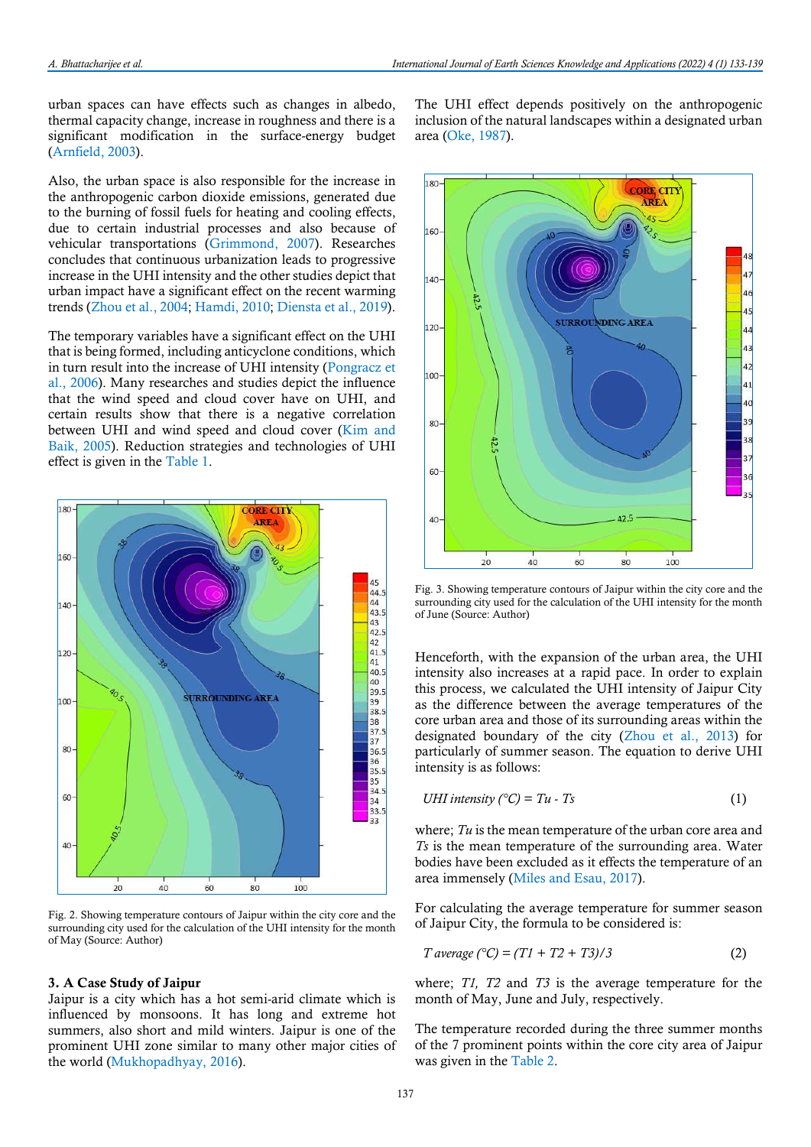urban spaces can have effects such as changes in albedo, thermal capacity change, increase in roughness and there is a significant modification in the surface-energy budget (Arnfield, 2003).

Also, the urban space is also responsible for the increase in the anthropogenic carbon dioxide emissions, generated due to the burning of fossil fuels for heating and cooling effects, due to certain industrial processes and also because of vehicular transportations (Grimmond, 2007). Researches concludes that continuous urbanization leads to progressive increase in the UHI intensity and the other studies depict that urban impact have a significant effect on the recent warming trends (Zhou et al., 2004; Hamdi, 2010; Diensta et al., 2019).

The temporary variables have a significant effect on the UHI that is being formed, including anticyclone conditions, which in turn result into the increase of UHI intensity (Pongracz et al., 2006). Many researches and studies depict the influence that the wind speed and cloud cover have on UHI, and certain results show that there is a negative correlation between UHI and wind speed and cloud cover (Kim and Baik, 2005). Reduction strategies and technologies of UHI effect is given in the Table 1.



Fig. 2. Showing temperature contours of Jaipur within the city core and the surrounding city used for the calculation of the UHI intensity for the month of May (Source: Author)

### 3. A Case Study of Jaipur

Jaipur is a city which has a hot semi-arid climate which is influenced by monsoons. It has long and extreme hot summers, also short and mild winters. Jaipur is one of the prominent UHI zone similar to many other major cities of the world (Mukhopadhyay, 2016).

The UHI effect depends positively on the anthropogenic inclusion of the natural landscapes within a designated urban area (Oke, 1987).



Fig. 3. Showing temperature contours of Jaipur within the city core and the surrounding city used for the calculation of the UHI intensity for the month of June (Source: Author)

Henceforth, with the expansion of the urban area, the UHI intensity also increases at a rapid pace. In order to explain this process, we calculated the UHI intensity of Jaipur City as the difference between the average temperatures of the core urban area and those of its surrounding areas within the designated boundary of the city (Zhou et al., 2013) for particularly of summer season. The equation to derive UHI intensity is as follows:

$$
UHI\text{ intensity } (^{\circ}C) = Tu - Ts \tag{1}
$$

where;  $Tu$  is the mean temperature of the urban core area and Ts is the mean temperature of the surrounding area. Water bodies have been excluded as it effects the temperature of an area immensely (Miles and Esau, 2017).

For calculating the average temperature for summer season of Jaipur City, the formula to be considered is:

$$
T \text{ average } (^{\circ}C) = (T1 + T2 + T3)/3 \tag{2}
$$

where; T1, T2 and T3 is the average temperature for the month of May, June and July, respectively.

The temperature recorded during the three summer months of the 7 prominent points within the core city area of Jaipur was given in the Table 2.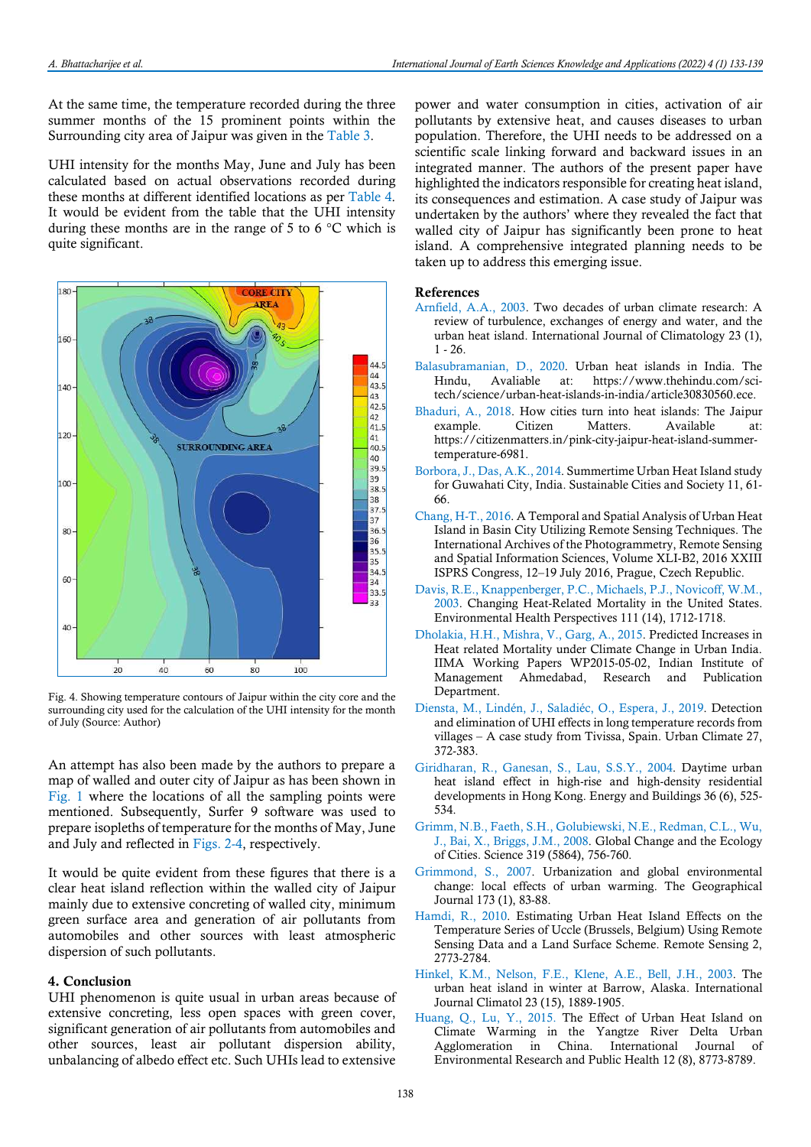At the same time, the temperature recorded during the three summer months of the 15 prominent points within the Surrounding city area of Jaipur was given in the Table 3.

UHI intensity for the months May, June and July has been calculated based on actual observations recorded during these months at different identified locations as per Table 4. It would be evident from the table that the UHI intensity during these months are in the range of 5 to 6  $\degree$ C which is quite significant.



Fig. 4. Showing temperature contours of Jaipur within the city core and the surrounding city used for the calculation of the UHI intensity for the month of July (Source: Author)

An attempt has also been made by the authors to prepare a map of walled and outer city of Jaipur as has been shown in Fig. 1 where the locations of all the sampling points were mentioned. Subsequently, Surfer 9 software was used to prepare isopleths of temperature for the months of May, June and July and reflected in Figs. 2-4, respectively.

It would be quite evident from these figures that there is a clear heat island reflection within the walled city of Jaipur mainly due to extensive concreting of walled city, minimum green surface area and generation of air pollutants from automobiles and other sources with least atmospheric dispersion of such pollutants.

# 4. Conclusion

UHI phenomenon is quite usual in urban areas because of extensive concreting, less open spaces with green cover, significant generation of air pollutants from automobiles and other sources, least air pollutant dispersion ability, unbalancing of albedo effect etc. Such UHIs lead to extensive

power and water consumption in cities, activation of air pollutants by extensive heat, and causes diseases to urban population. Therefore, the UHI needs to be addressed on a scientific scale linking forward and backward issues in an integrated manner. The authors of the present paper have highlighted the indicators responsible for creating heat island, its consequences and estimation. A case study of Jaipur was undertaken by the authors' where they revealed the fact that walled city of Jaipur has significantly been prone to heat island. A comprehensive integrated planning needs to be taken up to address this emerging issue.

# References

- Arnfield, A.A., 2003. Two decades of urban climate research: A review of turbulence, exchanges of energy and water, and the urban heat island. International Journal of Climatology 23 (1),  $1 - 26$
- Balasubramanian, D., 2020. Urban heat islands in India. The Hındu, Avaliable at: https://www.thehindu.com/scitech/science/urban-heat-islands-in-india/article30830560.ece.
- Bhaduri, A., 2018. How cities turn into heat islands: The Jaipur example. Citizen Matters. Available at: https://citizenmatters.in/pink-city-jaipur-heat-island-summertemperature-6981.
- Borbora, J., Das, A.K., 2014. Summertime Urban Heat Island study for Guwahati City, India. Sustainable Cities and Society 11, 61- 66.
- Chang, H-T., 2016. A Temporal and Spatial Analysis of Urban Heat Island in Basin City Utilizing Remote Sensing Techniques. The International Archives of the Photogrammetry, Remote Sensing and Spatial Information Sciences, Volume XLI-B2, 2016 XXIII ISPRS Congress, 12–19 July 2016, Prague, Czech Republic.
- Davis, R.E., Knappenberger, P.C., Michaels, P.J., Novicoff, W.M., 2003. Changing Heat-Related Mortality in the United States. Environmental Health Perspectives 111 (14), 1712-1718.
- Dholakia, H.H., Mishra, V., Garg, A., 2015. Predicted Increases in Heat related Mortality under Climate Change in Urban India. IIMA Working Papers WP2015-05-02, Indian Institute of Management Ahmedabad, Research and Publication Department.
- Diensta, M., Lindén, J., Saladiéc, O., Espera, J., 2019. Detection and elimination of UHI effects in long temperature records from villages – A case study from Tivissa, Spain. Urban Climate 27, 372-383.
- Giridharan, R., Ganesan, S., Lau, S.S.Y., 2004. Daytime urban heat island effect in high-rise and high-density residential developments in Hong Kong. Energy and Buildings 36 (6), 525- 534.
- Grimm, N.B., Faeth, S.H., Golubiewski, N.E., Redman, C.L., Wu, J., Bai, X., Briggs, J.M., 2008. Global Change and the Ecology of Cities. Science 319 (5864), 756-760.
- Grimmond, S., 2007. Urbanization and global environmental change: local effects of urban warming. The Geographical Journal 173 (1), 83-88.
- Hamdi, R., 2010. Estimating Urban Heat Island Effects on the Temperature Series of Uccle (Brussels, Belgium) Using Remote Sensing Data and a Land Surface Scheme. Remote Sensing 2, 2773-2784.
- Hinkel, K.M., Nelson, F.E., Klene, A.E., Bell, J.H., 2003. The urban heat island in winter at Barrow, Alaska. International Journal Climatol 23 (15), 1889-1905.
- Huang, Q., Lu, Y., 2015. The Effect of Urban Heat Island on Climate Warming in the Yangtze River Delta Urban Agglomeration in China. International Journal of Environmental Research and Public Health 12 (8), 8773-8789.